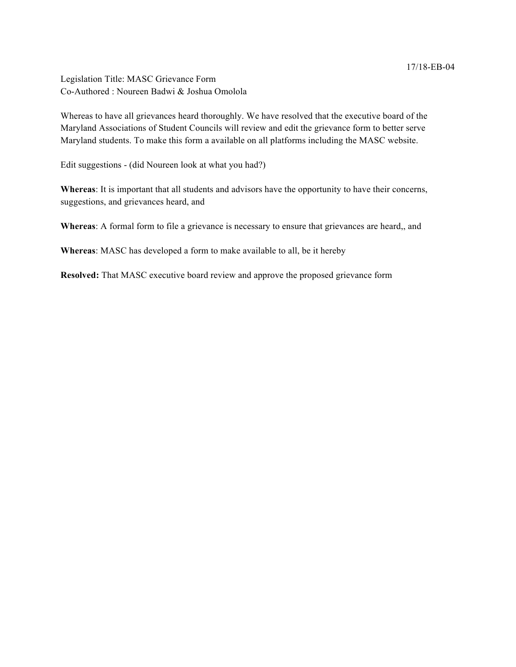17/18-EB-04

Legislation Title: MASC Grievance Form Co-Authored : Noureen Badwi & Joshua Omolola

Whereas to have all grievances heard thoroughly. We have resolved that the executive board of the Maryland Associations of Student Councils will review and edit the grievance form to better serve Maryland students. To make this form a available on all platforms including the MASC website.

Edit suggestions - (did Noureen look at what you had?)

**Whereas**: It is important that all students and advisors have the opportunity to have their concerns, suggestions, and grievances heard, and

**Whereas**: A formal form to file a grievance is necessary to ensure that grievances are heard,, and

**Whereas**: MASC has developed a form to make available to all, be it hereby

**Resolved:** That MASC executive board review and approve the proposed grievance form